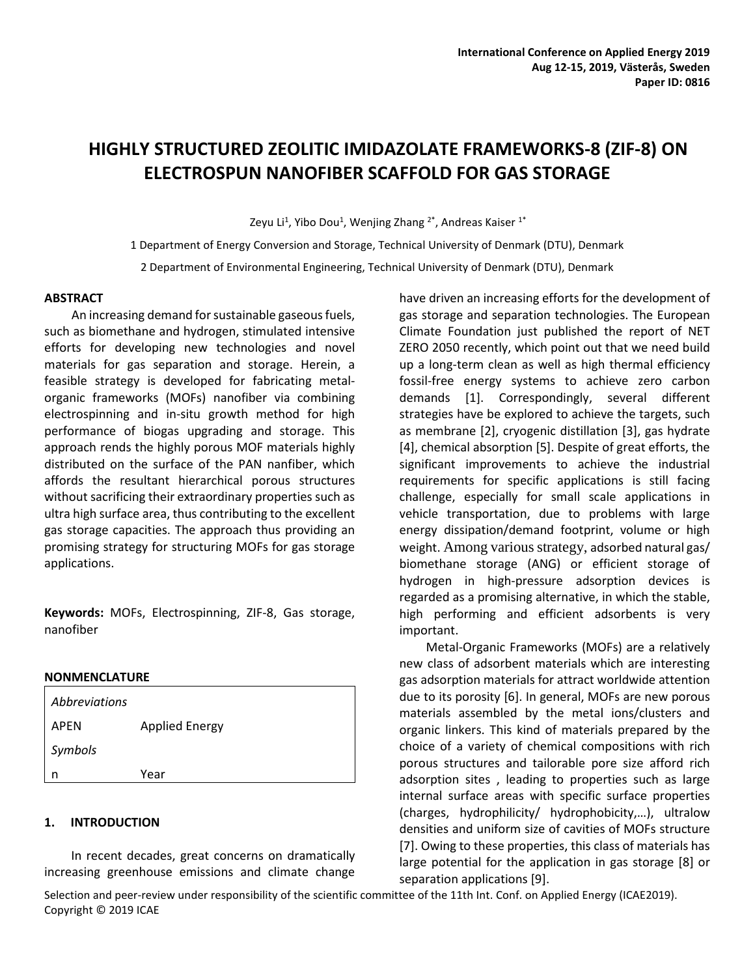# **HIGHLY STRUCTURED ZEOLITIC IMIDAZOLATE FRAMEWORKS-8 (ZIF-8) ON ELECTROSPUN NANOFIBER SCAFFOLD FOR GAS STORAGE**

Zeyu Li<sup>1</sup>, Yibo Dou<sup>1</sup>, Wenjing Zhang <sup>2\*</sup>, Andreas Kaiser <sup>1\*</sup>

1 Department of Energy Conversion and Storage, Technical University of Denmark (DTU), Denmark 2 Department of Environmental Engineering, Technical University of Denmark (DTU), Denmark

#### **ABSTRACT**

 An increasing demand for sustainable gaseous fuels, such as biomethane and hydrogen, stimulated intensive efforts for developing new technologies and novel materials for gas separation and storage. Herein, a feasible strategy is developed for fabricating metalorganic frameworks (MOFs) nanofiber via combining electrospinning and in-situ growth method for high performance of biogas upgrading and storage. This approach rends the highly porous MOF materials highly distributed on the surface of the PAN nanfiber, which affords the resultant hierarchical porous structures without sacrificing their extraordinary properties such as ultra high surface area, thus contributing to the excellent gas storage capacities. The approach thus providing an promising strategy for structuring MOFs for gas storage applications.

**Keywords:** MOFs, Electrospinning, ZIF-8, Gas storage, nanofiber

#### **NONMENCLATURE**

| <b>Abbreviations</b> |                       |
|----------------------|-----------------------|
| APEN                 | <b>Applied Energy</b> |
| Symbols              |                       |
| n                    | Year                  |

#### **1. INTRODUCTION**

In recent decades, great concerns on dramatically increasing greenhouse emissions and climate change

have driven an increasing efforts for the development of gas storage and separation technologies. The European Climate Foundation just published the report of NET ZERO 2050 recently, which point out that we need build up a long-term clean as well as high thermal efficiency fossil-free energy systems to achieve zero carbon demands [1]. Correspondingly, several different strategies have be explored to achieve the targets, such as membrane [2], cryogenic distillation [3], gas hydrate [4], chemical absorption [5]. Despite of great efforts, the significant improvements to achieve the industrial requirements for specific applications is still facing challenge, especially for small scale applications in vehicle transportation, due to problems with large energy dissipation/demand footprint, volume or high weight. Among various strategy, adsorbed natural gas/ biomethane storage (ANG) or efficient storage of hydrogen in high-pressure adsorption devices is regarded as a promising alternative, in which the stable, high performing and efficient adsorbents is very important.

Metal-Organic Frameworks (MOFs) are a relatively new class of adsorbent materials which are interesting gas adsorption materials for attract worldwide attention due to its porosity [6]. In general, MOFs are new porous materials assembled by the metal ions/clusters and organic linkers. This kind of materials prepared by the choice of a variety of chemical compositions with rich porous structures and tailorable pore size afford rich adsorption sites , leading to properties such as large internal surface areas with specific surface properties (charges, hydrophilicity/ hydrophobicity,…), ultralow densities and uniform size of cavities of MOFs structure [7]. Owing to these properties, this class of materials has large potential for the application in gas storage [8] or separation applications [9].

Selection and peer-review under responsibility of the scientific committee of the 11th Int. Conf. on Applied Energy (ICAE2019). Copyright © 2019 ICAE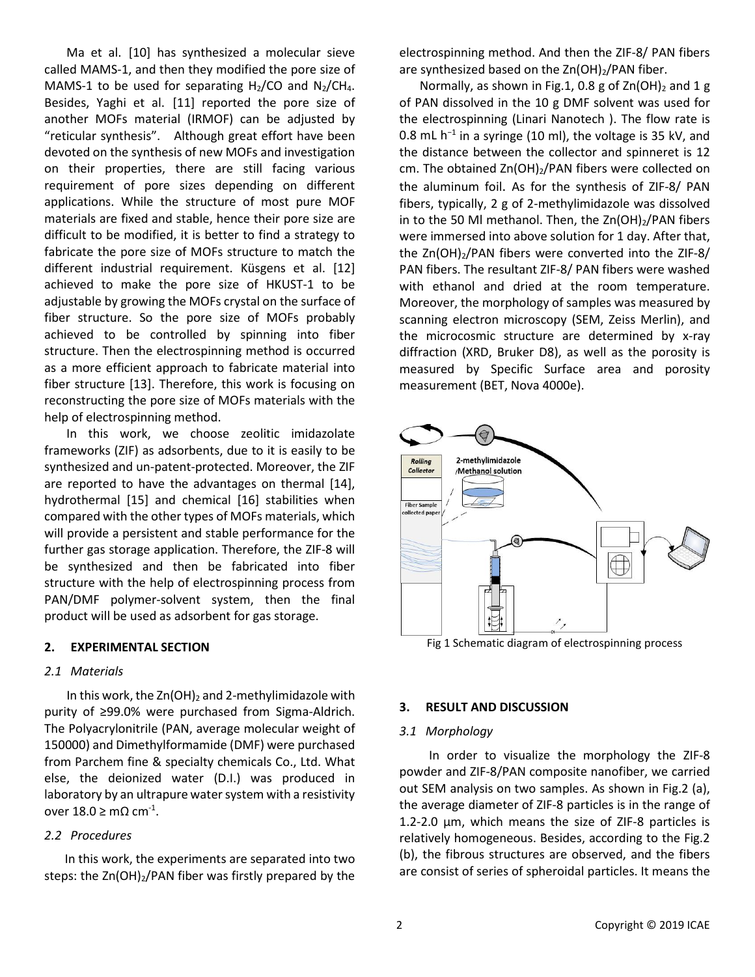Ma et al. [10] has synthesized a molecular sieve called MAMS-1, and then they modified the pore size of MAMS-1 to be used for separating  $H_2/CO$  and  $N_2/CH_4$ . Besides, Yaghi et al. [11] reported the pore size of another MOFs material (IRMOF) can be adjusted by "reticular synthesis". Although great effort have been devoted on the synthesis of new MOFs and investigation on their properties, there are still facing various requirement of pore sizes depending on different applications. While the structure of most pure MOF materials are fixed and stable, hence their pore size are difficult to be modified, it is better to find a strategy to fabricate the pore size of MOFs structure to match the different industrial requirement. Küsgens et al. [12] achieved to make the pore size of HKUST-1 to be adjustable by growing the MOFs crystal on the surface of fiber structure. So the pore size of MOFs probably achieved to be controlled by spinning into fiber structure. Then the electrospinning method is occurred as a more efficient approach to fabricate material into fiber structure [13]. Therefore, this work is focusing on reconstructing the pore size of MOFs materials with the help of electrospinning method.

In this work, we choose zeolitic imidazolate frameworks (ZIF) as adsorbents, due to it is easily to be synthesized and un-patent-protected. Moreover, the ZIF are reported to have the advantages on thermal [14], hydrothermal [15] and chemical [16] stabilities when compared with the other types of MOFs materials, which will provide a persistent and stable performance for the further gas storage application. Therefore, the ZIF-8 will be synthesized and then be fabricated into fiber structure with the help of electrospinning process from PAN/DMF polymer-solvent system, then the final product will be used as adsorbent for gas storage.

#### **2. EXPERIMENTAL SECTION**

#### *2.1 Materials*

In this work, the  $Zn(OH)_2$  and 2-methylimidazole with purity of ≥99.0% were purchased from Sigma-Aldrich. The Polyacrylonitrile (PAN, average molecular weight of 150000) and Dimethylformamide (DMF) were purchased from Parchem fine & specialty chemicals Co., Ltd. What else, the deionized water (D.I.) was produced in laboratory by an ultrapure water system with a resistivity over  $18.0 \geq m\Omega \text{ cm}^{-1}$ .

#### *2.2 Procedures*

 In this work, the experiments are separated into two steps: the Zn(OH)<sub>2</sub>/PAN fiber was firstly prepared by the electrospinning method. And then the ZIF-8/ PAN fibers are synthesized based on the  $Zn(OH)_2/PAN$  fiber.

Normally, as shown in Fig.1, 0.8 g of  $Zn(OH)_2$  and 1 g of PAN dissolved in the 10 g DMF solvent was used for the electrospinning (Linari Nanotech ). The flow rate is 0.8 mL h<sup>-1</sup> in a syringe (10 ml), the voltage is 35 kV, and the distance between the collector and spinneret is 12 cm. The obtained  $Zn(OH)_2/PAN$  fibers were collected on the aluminum foil. As for the synthesis of ZIF-8/ PAN fibers, typically, 2 g of 2-methylimidazole was dissolved in to the 50 Ml methanol. Then, the  $Zn(OH)_2/PAN$  fibers were immersed into above solution for 1 day. After that, the Zn(OH)2/PAN fibers were converted into the ZIF-8/ PAN fibers. The resultant ZIF-8/ PAN fibers were washed with ethanol and dried at the room temperature. Moreover, the morphology of samples was measured by scanning electron microscopy (SEM, Zeiss Merlin), and the microcosmic structure are determined by x-ray diffraction (XRD, Bruker D8), as well as the porosity is measured by Specific Surface area and porosity measurement (BET, Nova 4000e).



Fig 1 Schematic diagram of electrospinning process

#### **3. RESULT AND DISCUSSION**

#### *3.1 Morphology*

 In order to visualize the morphology the ZIF-8 powder and ZIF-8/PAN composite nanofiber, we carried out SEM analysis on two samples. As shown in Fig.2 (a), the average diameter of ZIF-8 particles is in the range of 1.2-2.0 μm, which means the size of ZIF-8 particles is relatively homogeneous. Besides, according to the Fig.2 (b), the fibrous structures are observed, and the fibers are consist of series of spheroidal particles. It means the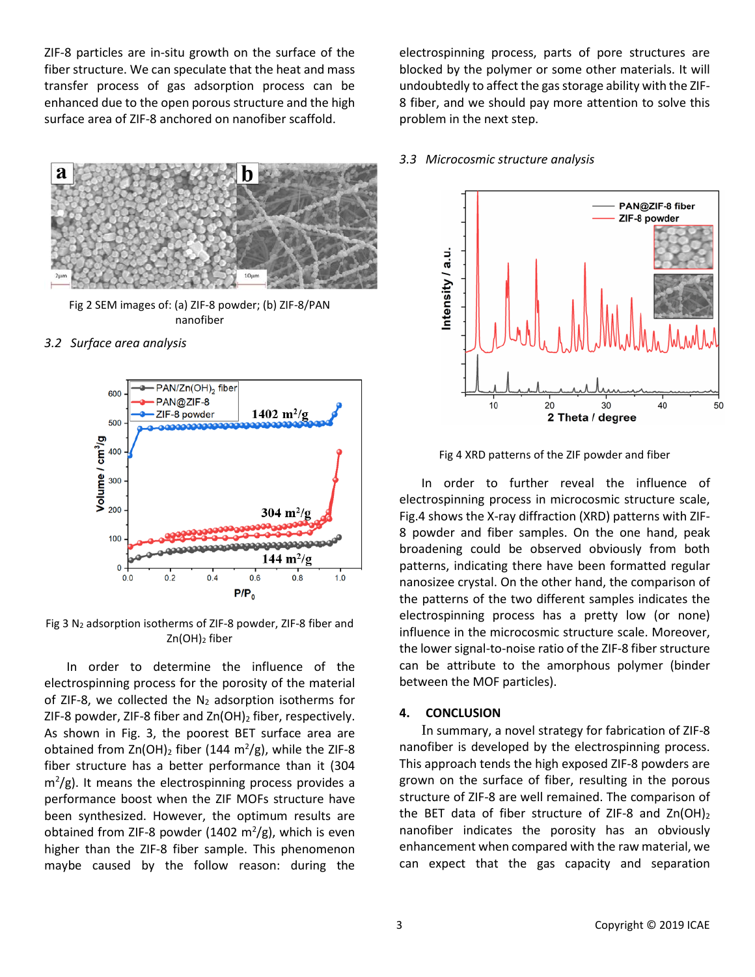ZIF-8 particles are in-situ growth on the surface of the fiber structure. We can speculate that the heat and mass transfer process of gas adsorption process can be enhanced due to the open porous structure and the high surface area of ZIF-8 anchored on nanofiber scaffold.



Fig 2 SEM images of: (a) ZIF-8 powder; (b) ZIF-8/PAN nanofiber

*3.2 Surface area analysis*



Fig 3 N2 adsorption isotherms of ZIF-8 powder, ZIF-8 fiber and  $Zn(OH)_2$  fiber

In order to determine the influence of the electrospinning process for the porosity of the material of ZIF-8, we collected the  $N_2$  adsorption isotherms for ZIF-8 powder, ZIF-8 fiber and  $Zn(OH)_2$  fiber, respectively. As shown in Fig. 3, the poorest BET surface area are obtained from  $Zn(OH)_2$  fiber (144 m<sup>2</sup>/g), while the ZIF-8 fiber structure has a better performance than it (304  $m^2/g$ ). It means the electrospinning process provides a performance boost when the ZIF MOFs structure have been synthesized. However, the optimum results are obtained from ZIF-8 powder (1402  $m^2/g$ ), which is even higher than the ZIF-8 fiber sample. This phenomenon maybe caused by the follow reason: during the

electrospinning process, parts of pore structures are blocked by the polymer or some other materials. It will undoubtedly to affect the gas storage ability with the ZIF-8 fiber, and we should pay more attention to solve this problem in the next step.

# *3.3 Microcosmic structure analysis*



Fig 4 XRD patterns of the ZIF powder and fiber

In order to further reveal the influence of electrospinning process in microcosmic structure scale, Fig.4 shows the X-ray diffraction (XRD) patterns with ZIF-8 powder and fiber samples. On the one hand, peak broadening could be observed obviously from both patterns, indicating there have been formatted regular nanosizee crystal. On the other hand, the comparison of the patterns of the two different samples indicates the electrospinning process has a pretty low (or none) influence in the microcosmic structure scale. Moreover, the lower signal-to-noise ratio of the ZIF-8 fiber structure can be attribute to the amorphous polymer (binder between the MOF particles).

# **4. CONCLUSION**

In summary, a novel strategy for fabrication of ZIF-8 nanofiber is developed by the electrospinning process. This approach tends the high exposed ZIF-8 powders are grown on the surface of fiber, resulting in the porous structure of ZIF-8 are well remained. The comparison of the BET data of fiber structure of ZIF-8 and  $Zn(OH)_2$ nanofiber indicates the porosity has an obviously enhancement when compared with the raw material, we can expect that the gas capacity and separation